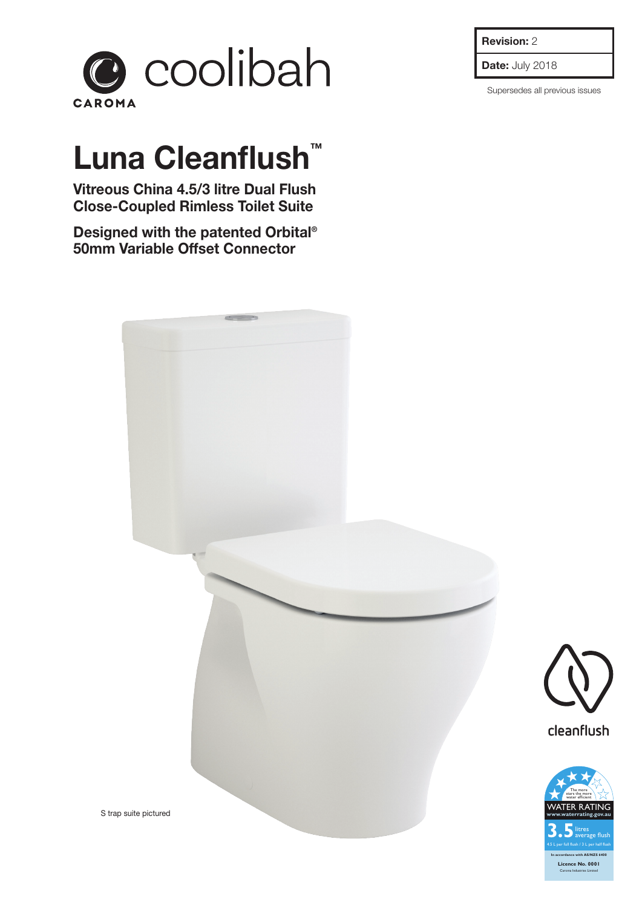

## **Luna Cleanflush™**

**Vitreous China 4.5/3 litre Dual Flush Close-Coupled Rimless Toilet Suite**

**Designed with the patented Orbital® 50mm Variable Offset Connector**



**Date:** July 2018

Supersedes all previous issues





S trap suite pictured